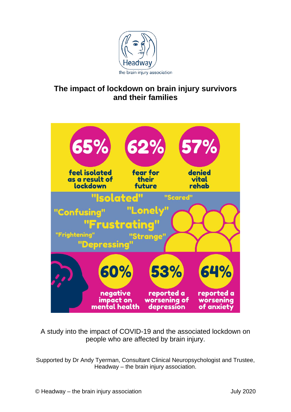

# **The impact of lockdown on brain injury survivors and their families**



A study into the impact of COVID-19 and the associated lockdown on people who are affected by brain injury.

Supported by Dr Andy Tyerman, Consultant Clinical Neuropsychologist and Trustee, Headway – the brain injury association.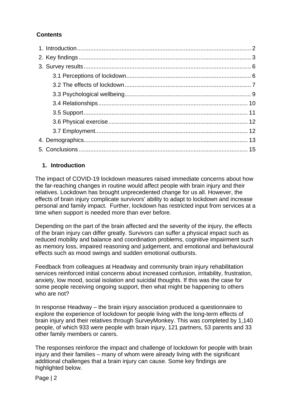# **Contents**

#### <span id="page-1-0"></span>**1. Introduction**

The impact of COVID-19 lockdown measures raised immediate concerns about how the far-reaching changes in routine would affect people with brain injury and their relatives. Lockdown has brought unprecedented change for us all. However, the effects of brain injury complicate survivors' ability to adapt to lockdown and increase personal and family impact. Further, lockdown has restricted input from services at a time when support is needed more than ever before.

Depending on the part of the brain affected and the severity of the injury, the effects of the brain injury can differ greatly. Survivors can suffer a physical impact such as reduced mobility and balance and coordination problems, cognitive impairment such as memory loss, impaired reasoning and judgement, and emotional and behavioural effects such as mood swings and sudden emotional outbursts.

Feedback from colleagues at Headway and community brain injury rehabilitation services reinforced initial concerns about increased confusion, irritability, frustration, anxiety, low mood, social isolation and suicidal thoughts. If this was the case for some people receiving ongoing support, then what might be happening to others who are not?

In response Headway – the brain injury association produced a questionnaire to explore the experience of lockdown for people living with the long-term effects of brain injury and their relatives through SurveyMonkey. This was completed by 1,140 people, of which 933 were people with brain injury, 121 partners, 53 parents and 33 other family members or carers.

The responses reinforce the impact and challenge of lockdown for people with brain injury and their families – many of whom were already living with the significant additional challenges that a brain injury can cause. Some key findings are highlighted below.

Page | 2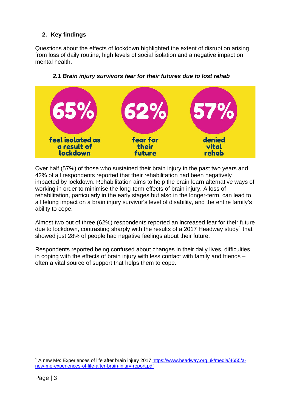# <span id="page-2-0"></span>**2. Key findings**

Questions about the effects of lockdown highlighted the extent of disruption arising from loss of daily routine, high levels of social isolation and a negative impact on mental health.



## *2.1 Brain injury survivors fear for their futures due to lost rehab*

Over half (57%) of those who sustained their brain injury in the past two years and 42% of all respondents reported that their rehabilitation had been negatively impacted by lockdown. Rehabilitation aims to help the brain learn alternative ways of working in order to minimise the long-term effects of brain injury. A loss of rehabilitation, particularly in the early stages but also in the longer-term, can lead to a lifelong impact on a brain injury survivor's level of disability, and the entire family's ability to cope.

Almost two out of three (62%) respondents reported an increased fear for their future due to lockdown, contrasting sharply with the results of a 20[1](#page-2-1)7 Headway study<sup>1</sup> that showed just 28% of people had negative feelings about their future.

Respondents reported being confused about changes in their daily lives, difficulties in coping with the effects of brain injury with less contact with family and friends – often a vital source of support that helps them to cope.

<span id="page-2-1"></span><sup>1</sup> A new Me: Experiences of life after brain injury 2017 [https://www.headway.org.uk/media/4655/a](https://www.headway.org.uk/media/4655/a-new-me-experiences-of-life-after-brain-injury-report.pdf)[new-me-experiences-of-life-after-brain-injury-report.pdf](https://www.headway.org.uk/media/4655/a-new-me-experiences-of-life-after-brain-injury-report.pdf)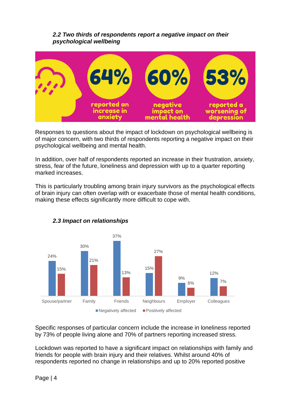#### *2.2 Two thirds of respondents report a negative impact on their psychological wellbeing*



Responses to questions about the impact of lockdown on psychological wellbeing is of major concern, with two thirds of respondents reporting a negative impact on their psychological wellbeing and mental health.

In addition, over half of respondents reported an increase in their frustration, anxiety, stress, fear of the future, loneliness and depression with up to a quarter reporting marked increases.

This is particularly troubling among brain injury survivors as the psychological effects of brain injury can often overlap with or exacerbate those of mental health conditions, making these effects significantly more difficult to cope with.



## *2.3 Impact on relationships*

Specific responses of particular concern include the increase in loneliness reported by 73% of people living alone and 70% of partners reporting increased stress.

Lockdown was reported to have a significant impact on relationships with family and friends for people with brain injury and their relatives. Whilst around 40% of respondents reported no change in relationships and up to 20% reported positive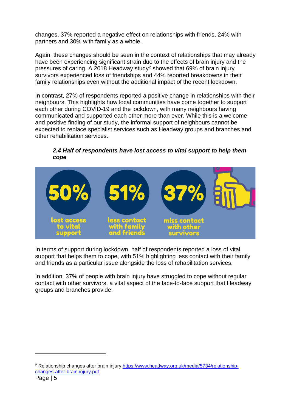changes, 37% reported a negative effect on relationships with friends, 24% with partners and 30% with family as a whole.

Again, these changes should be seen in the context of relationships that may already have been experiencing significant strain due to the effects of brain injury and the pressures of caring. A 2018 Headway study[2](#page-4-0) showed that 69% of brain injury survivors experienced loss of friendships and 44% reported breakdowns in their family relationships even without the additional impact of the recent lockdown.

In contrast, 27% of respondents reported a positive change in relationships with their neighbours. This highlights how local communities have come together to support each other during COVID-19 and the lockdown, with many neighbours having communicated and supported each other more than ever. While this is a welcome and positive finding of our study, the informal support of neighbours cannot be expected to replace specialist services such as Headway groups and branches and other rehabilitation services.

#### *2.4 Half of respondents have lost access to vital support to help them cope*



In terms of support during lockdown, half of respondents reported a loss of vital support that helps them to cope, with 51% highlighting less contact with their family and friends as a particular issue alongside the loss of rehabilitation services.

In addition, 37% of people with brain injury have struggled to cope without regular contact with other survivors, a vital aspect of the face-to-face support that Headway groups and branches provide.

<span id="page-4-0"></span><sup>2</sup> Relationship changes after brain injury [https://www.headway.org.uk/media/5734/relationship](https://www.headway.org.uk/media/5734/relationship-changes-after-brain-injury.pdf)[changes-after-brain-injury.pdf](https://www.headway.org.uk/media/5734/relationship-changes-after-brain-injury.pdf)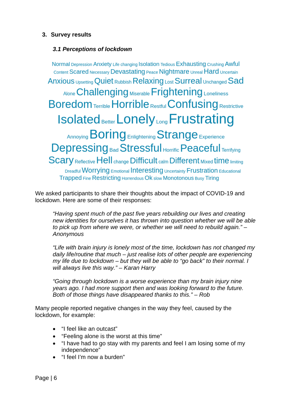#### <span id="page-5-1"></span><span id="page-5-0"></span>**3. Survey results**

#### *3.1 Perceptions of lockdown*

Normal Depression Anxiety Life changing Isolation Tedious Exhausting Crushing Awful Content Scared Necessary Devastating Peace Nightmare Unreal Hard Uncertain Anxious Upsetting Quiet Rubbish Relaxing Lost Surreal Unchanged Sad Alone Challenging Miserable Frightening Loneliness **Boredom Terrible Horrible Restful Confusing Restrictive Isolated Better Lonely Long Frustrating** Annoying Boring Enlightening Strange Experience **Depressing Bad Stressful Horrific Peaceful Terrifying Scary Reflective Hell change Difficult calm Different Mixed time limiting** Dreadful Worrying Emotional Interesting Uncertainty Frustration Educational Trapped Fine Restricting Horrendous Ok slow Monotonous Busy Tiring

We asked participants to share their thoughts about the impact of COVID-19 and lockdown. Here are some of their responses:

*"Having spent much of the past five years rebuilding our lives and creating new identities for ourselves it has thrown into question whether we will be able to pick up from where we were, or whether we will need to rebuild again." – Anonymous*

*"Life with brain injury is lonely most of the time, lockdown has not changed my daily life/routine that much – just realise lots of other people are experiencing my life due to lockdown – but they will be able to "go back" to their normal. I will always live this way." – Karan Harry*

*"Going through lockdown is a worse experience than my brain injury nine years ago. I had more support then and was looking forward to the future. Both of those things have disappeared thanks to this." – Rob*

Many people reported negative changes in the way they feel, caused by the lockdown, for example:

- "I feel like an outcast"
- "Feeling alone is the worst at this time"
- "I have had to go stay with my parents and feel I am losing some of my independence"
- "I feel I'm now a burden"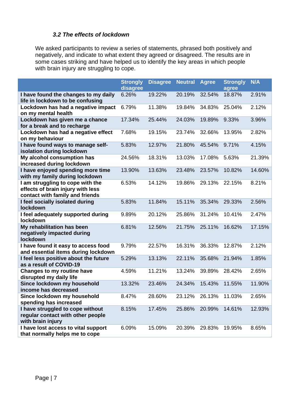#### *3.2 The effects of lockdown*

<span id="page-6-0"></span>We asked participants to review a series of statements, phrased both positively and negatively, and indicate to what extent they agreed or disagreed. The results are in some cases striking and have helped us to identify the key areas in which people with brain injury are struggling to cope.

|                                                                                                          | <b>Strongly</b><br>disagree | <b>Disagree</b> | <b>Neutral</b> | <b>Agree</b> | <b>Strongly</b><br>agree | <b>N/A</b> |
|----------------------------------------------------------------------------------------------------------|-----------------------------|-----------------|----------------|--------------|--------------------------|------------|
| I have found the changes to my daily<br>life in lockdown to be confusing                                 | 6.26%                       | 19.22%          | 20.19%         | 32.54%       | 18.87%                   | 2.91%      |
| Lockdown has had a negative impact<br>on my mental health                                                | 6.79%                       | 11.38%          | 19.84%         | 34.83%       | 25.04%                   | 2.12%      |
| Lockdown has given me a chance<br>for a break and to recharge                                            | 17.34%                      | 25.44%          | 24.03%         | 19.89%       | 9.33%                    | 3.96%      |
| Lockdown has had a negative effect<br>on my behaviour                                                    | 7.68%                       | 19.15%          | 23.74%         | 32.66%       | 13.95%                   | 2.82%      |
| I have found ways to manage self-<br>isolation during lockdown                                           | 5.83%                       | 12.97%          | 21.80%         | 45.54%       | 9.71%                    | 4.15%      |
| My alcohol consumption has<br>increased during lockdown                                                  | 24.56%                      | 18.31%          | 13.03%         | 17.08%       | 5.63%                    | 21.39%     |
| I have enjoyed spending more time<br>with my family during lockdown                                      | 13.90%                      | 13.63%          | 23.48%         | 23.57%       | 10.82%                   | 14.60%     |
| I am struggling to cope with the<br>effects of brain injury with less<br>contact with family and friends | 6.53%                       | 14.12%          | 19.86%         | 29.13%       | 22.15%                   | 8.21%      |
| I feel socially isolated during<br>lockdown                                                              | 5.83%                       | 11.84%          | 15.11%         | 35.34%       | 29.33%                   | 2.56%      |
| I feel adequately supported during<br>lockdown                                                           | 9.89%                       | 20.12%          | 25.86%         | 31.24%       | 10.41%                   | 2.47%      |
| My rehabilitation has been<br>negatively impacted during<br>lockdown                                     | 6.81%                       | 12.56%          | 21.75%         | 25.11%       | 16.62%                   | 17.15%     |
| I have found it easy to access food<br>and essential items during lockdown                               | 9.79%                       | 22.57%          | 16.31%         | 36.33%       | 12.87%                   | 2.12%      |
| I feel less positive about the future<br>as a result of COVID-19                                         | 5.29%                       | 13.13%          | 22.11%         | 35.68%       | 21.94%                   | 1.85%      |
| Changes to my routine have<br>disrupted my daily life                                                    | 4.59%                       | 11.21%          | 13.24%         | 39.89%       | 28.42%                   | 2.65%      |
| Since lockdown my household<br>income has decreased                                                      | 13.32%                      | 23.46%          | 24.34%         | 15.43%       | 11.55%                   | 11.90%     |
| Since lockdown my household<br>spending has increased                                                    | 8.47%                       | 28.60%          | 23.12%         | 26.13%       | 11.03%                   | 2.65%      |
| I have struggled to cope without<br>regular contact with other people<br>with brain injury               | 8.15%                       | 17.45%          | 25.86%         | 20.99%       | 14.61%                   | 12.93%     |
| I have lost access to vital support<br>that normally helps me to cope                                    | 6.09%                       | 15.09%          | 20.39%         | 29.83%       | 19.95%                   | 8.65%      |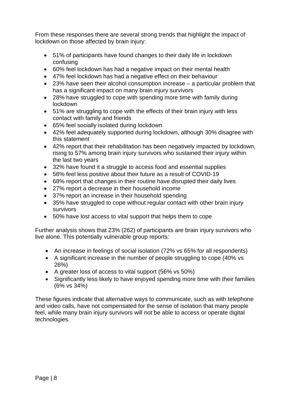From these responses there are several strong trends that highlight the impact of lockdown on those affected by brain injury:

- 51% of participants have found changes to their daily life in lockdown confusing
- 60% feel lockdown has had a negative impact on their mental health
- 47% feel lockdown has had a negative effect on their behaviour
- 23% have seen their alcohol consumption increase a particular problem that has a significant impact on many brain injury survivors
- 28% have struggled to cope with spending more time with family during lockdown
- 51% are struggling to cope with the effects of their brain injury with less contact with family and friends
- 65% feel socially isolated during lockdown
- 42% feel adequately supported during lockdown, although 30% disagree with this statement
- 42% report that their rehabilitation has been negatively impacted by lockdown, rising to 57% among brain injury survivors who sustained their injury within the last two years
- 32% have found it a struggle to access food and essential supplies
- 58% feel less positive about their future as a result of COVID-19
- 68% report that changes in their routine have disrupted their daily lives
- 27% report a decrease in their household income
- 37% report an increase in their household spending
- 35% have struggled to cope without regular contact with other brain injury survivors
- 50% have lost access to vital support that helps them to cope

Further analysis shows that 23% (262) of participants are brain injury survivors who live alone. This potentially vulnerable group reports:

- An increase in feelings of social isolation (72% vs 65% for all respondents)
- A significant increase in the number of people struggling to cope (40% vs 26%)
- A greater loss of access to vital support (56% vs 50%)
- Significantly less likely to have enjoyed spending more time with their families (6% vs 34%)

These figures indicate that alternative ways to communicate, such as with telephone and video calls, have not compensated for the sense of isolation that many people feel, while many brain injury survivors will not be able to access or operate digital technologies.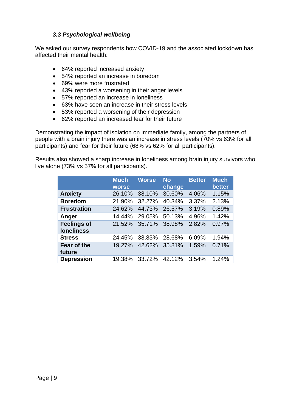#### *3.3 Psychological wellbeing*

<span id="page-8-0"></span>We asked our survey respondents how COVID-19 and the associated lockdown has affected their mental health:

- 64% reported increased anxiety
- 54% reported an increase in boredom
- 69% were more frustrated
- 43% reported a worsening in their anger levels
- 57% reported an increase in loneliness
- 63% have seen an increase in their stress levels
- 53% reported a worsening of their depression
- 62% reported an increased fear for their future

Demonstrating the impact of isolation on immediate family, among the partners of people with a brain injury there was an increase in stress levels (70% vs 63% for all participants) and fear for their future (68% vs 62% for all participants).

Results also showed a sharp increase in loneliness among brain injury survivors who live alone (73% vs 57% for all participants).

|                                         | <b>Much</b><br><b>worse</b> | <b>Worse</b> | <b>No</b><br>change | <b>Better</b> | <b>Much</b><br>better |
|-----------------------------------------|-----------------------------|--------------|---------------------|---------------|-----------------------|
| <b>Anxiety</b>                          | 26.10%                      | 38.10%       | 30.60%              | 4.06%         | 1.15%                 |
| <b>Boredom</b>                          | 21.90%                      | 32.27%       | 40.34%              | 3.37%         | 2.13%                 |
| <b>Frustration</b>                      | 24.62%                      | 44.73%       | 26.57%              | 3.19%         | 0.89%                 |
| Anger                                   | 14.44%                      | 29.05%       | 50.13%              | 4.96%         | 1.42%                 |
| <b>Feelings of</b><br><b>loneliness</b> | 21.52%                      | 35.71%       | 38.98%              | 2.82%         | 0.97%                 |
| <b>Stress</b>                           | 24.45%                      | 38.83%       | 28.68%              | 6.09%         | 1.94%                 |
| Fear of the<br>future                   | 19.27%                      | 42.62%       | 35.81%              | 1.59%         | 0.71%                 |
| <b>Depression</b>                       | 19.38%                      | 33.72%       | 42.12%              | 3.54%         | 1.24%                 |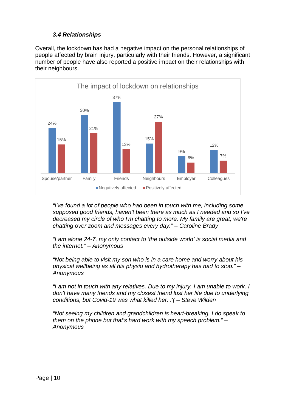#### *3.4 Relationships*

<span id="page-9-0"></span>Overall, the lockdown has had a negative impact on the personal relationships of people affected by brain injury, particularly with their friends. However, a significant number of people have also reported a positive impact on their relationships with their neighbours.



*"I've found a lot of people who had been in touch with me, including some supposed good friends, haven't been there as much as I needed and so I've decreased my circle of who I'm chatting to more. My family are great, we're chatting over zoom and messages every day." – Caroline Brady*

*"I am alone 24-7, my only contact to 'the outside world' is social media and the internet." – Anonymous*

*"Not being able to visit my son who is in a care home and worry about his physical wellbeing as all his physio and hydrotherapy has had to stop." – Anonymous*

*"I am not in touch with any relatives. Due to my injury, I am unable to work. I don't have many friends and my closest friend lost her life due to underlying conditions, but Covid-19 was what killed her. :'( – Steve Wilden*

*"Not seeing my children and grandchildren is heart-breaking, I do speak to them on the phone but that's hard work with my speech problem." – Anonymous*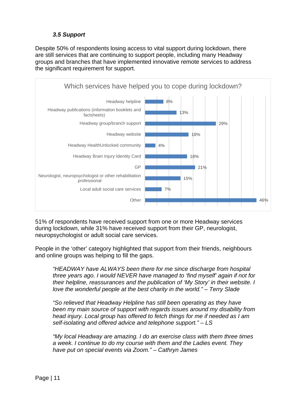#### *3.5 Support*

<span id="page-10-0"></span>Despite 50% of respondents losing access to vital support during lockdown, there are still services that are continuing to support people, including many Headway groups and branches that have implemented innovative remote services to address the significant requirement for support.



51% of respondents have received support from one or more Headway services during lockdown, while 31% have received support from their GP, neurologist, neuropsychologist or adult social care services.

People in the 'other' category highlighted that support from their friends, neighbours and online groups was helping to fill the gaps.

*"HEADWAY have ALWAYS been there for me since discharge from hospital three years ago. I would NEVER have managed to 'find myself' again if not for their helpline, reassurances and the publication of 'My Story' in their website. I love the wonderful people at the best charity in the world." – Terry Slade*

*"So relieved that Headway Helpline has still been operating as they have been my main source of support with regards issues around my disability from head injury. Local group has offered to fetch things for me if needed as I am self-isolating and offered advice and telephone support." – LS*

*"My local Headway are amazing. I do an exercise class with them three times a week. I continue to do my course with them and the Ladies event. They have put on special events via Zoom." – Cathryn James*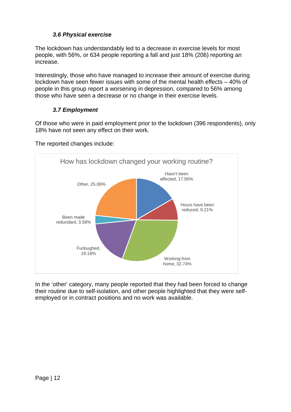## *3.6 Physical exercise*

<span id="page-11-0"></span>The lockdown has understandably led to a decrease in exercise levels for most people, with 56%, or 634 people reporting a fall and just 18% (206) reporting an increase.

Interestingly, those who have managed to increase their amount of exercise during lockdown have seen fewer issues with some of the mental health effects – 40% of people in this group report a worsening in depression, compared to 56% among those who have seen a decrease or no change in their exercise levels.

## *3.7 Employment*

<span id="page-11-1"></span>Of those who were in paid employment prior to the lockdown (396 respondents), only 18% have not seen any effect on their work.

The reported changes include:



In the 'other' category, many people reported that they had been forced to change their routine due to self-isolation, and other people highlighted that they were selfemployed or in contract positions and no work was available.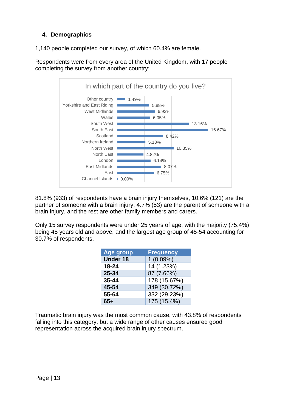### <span id="page-12-0"></span>**4. Demographics**

1,140 people completed our survey, of which 60.4% are female.

Respondents were from every area of the United Kingdom, with 17 people completing the survey from another country:



81.8% (933) of respondents have a brain injury themselves, 10.6% (121) are the partner of someone with a brain injury, 4.7% (53) are the parent of someone with a brain injury, and the rest are other family members and carers.

Only 15 survey respondents were under 25 years of age, with the majority (75.4%) being 45 years old and above, and the largest age group of 45-54 accounting for 30.7% of respondents.

| <b>Age group</b> | <b>Frequency</b> |
|------------------|------------------|
| <b>Under 18</b>  | $1(0.09\%)$      |
| 18-24            | 14 (1.23%)       |
| 25-34            | 87 (7.66%)       |
| $35 - 44$        | 178 (15.67%)     |
| 45-54            | 349 (30.72%)     |
| 55-64            | 332 (29.23%)     |
| $65+$            | 175 (15.4%)      |

Traumatic brain injury was the most common cause, with 43.8% of respondents falling into this category, but a wide range of other causes ensured good representation across the acquired brain injury spectrum.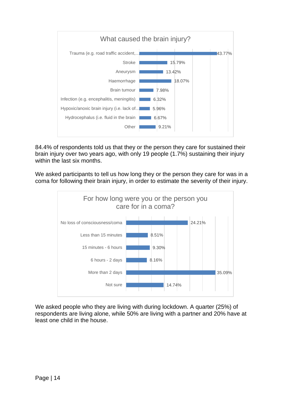

84.4% of respondents told us that they or the person they care for sustained their brain injury over two years ago, with only 19 people (1.7%) sustaining their injury within the last six months.

We asked participants to tell us how long they or the person they care for was in a coma for following their brain injury, in order to estimate the severity of their injury.



We asked people who they are living with during lockdown. A quarter (25%) of respondents are living alone, while 50% are living with a partner and 20% have at least one child in the house.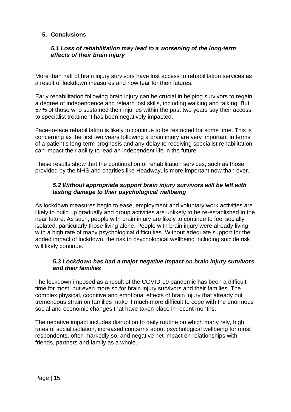#### <span id="page-14-0"></span>**5. Conclusions**

#### *5.1 Loss of rehabilitation may lead to a worsening of the long-term effects of their brain injury*

More than half of brain injury survivors have lost access to rehabilitation services as a result of lockdown measures and now fear for their futures.

Early rehabilitation following brain injury can be crucial in helping survivors to regain a degree of independence and relearn lost skills, including walking and talking. But 57% of those who sustained their injuries within the past two years say their access to specialist treatment has been negatively impacted.

Face-to-face rehabilitation is likely to continue to be restricted for some time. This is concerning as the first two years following a brain injury are very important in terms of a patient's long-term prognosis and any delay to receiving specialist rehabilitation can impact their ability to lead an independent life in the future.

These results show that the continuation of rehabilitation services, such as those provided by the NHS and charities like Headway, is more important now than ever.

#### *5.2 Without appropriate support brain injury survivors will be left with lasting damage to their psychological wellbeing*

As lockdown measures begin to ease, employment and voluntary work activities are likely to build up gradually and group activities are unlikely to be re-established in the near future. As such, people with brain injury are likely to continue to feel socially isolated, particularly those living alone. People with brain injury were already living with a high rate of many psychological difficulties. Without adequate support for the added impact of lockdown, the risk to psychological wellbeing including suicide risk will likely continue.

#### *5.3 Lockdown has had a major negative impact on brain injury survivors and their families*

The lockdown imposed as a result of the COVID-19 pandemic has been a difficult time for most, but even more so for brain injury survivors and their families. The complex physical, cognitive and emotional effects of brain injury that already put tremendous strain on families make it much more difficult to cope with the enormous social and economic changes that have taken place in recent months.

The negative impact includes disruption to daily routine on which many rely, high rates of social isolation, increased concerns about psychological wellbeing for most respondents, often markedly so, and negative net impact on relationships with friends, partners and family as a whole.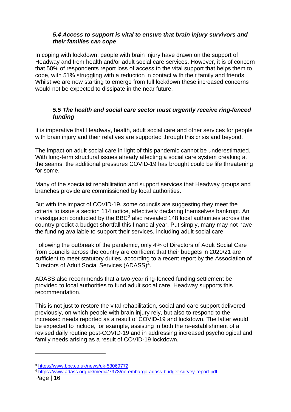#### *5.4 Access to support is vital to ensure that brain injury survivors and their families can cope*

In coping with lockdown, people with brain injury have drawn on the support of Headway and from health and/or adult social care services. However, it is of concern that 50% of respondents report loss of access to the vital support that helps them to cope, with 51% struggling with a reduction in contact with their family and friends. Whilst we are now starting to emerge from full lockdown these increased concerns would not be expected to dissipate in the near future.

#### *5.5 The health and social care sector must urgently receive ring-fenced funding*

It is imperative that Headway, health, adult social care and other services for people with brain injury and their relatives are supported through this crisis and beyond.

The impact on adult social care in light of this pandemic cannot be underestimated. With long-term structural issues already affecting a social care system creaking at the seams, the additional pressures COVID-19 has brought could be life threatening for some.

Many of the specialist rehabilitation and support services that Headway groups and branches provide are commissioned by local authorities.

But with the impact of COVID-19, some councils are suggesting they meet the criteria to issue a section 114 notice, effectively declaring themselves bankrupt. An investigation conducted by the BBC $3$  also revealed 148 local authorities across the country predict a budget shortfall this financial year. Put simply, many may not have the funding available to support their services, including adult social care.

Following the outbreak of the pandemic, only 4% of Directors of Adult Social Care from councils across the country are confident that their budgets in 2020/21 are sufficient to meet statutory duties, according to a recent report by the Association of Directors of Adult Social Services (ADASS)[4](#page-15-1).

ADASS also recommends that a two-year ring-fenced funding settlement be provided to local authorities to fund adult social care. Headway supports this recommendation.

This is not just to restore the vital rehabilitation, social and care support delivered previously, on which people with brain injury rely, but also to respond to the increased needs reported as a result of COVID-19 and lockdown. The latter would be expected to include, for example, assisting in both the re-establishment of a revised daily routine post-COVID-19 and in addressing increased psychological and family needs arising as a result of COVID-19 lockdown.

<span id="page-15-0"></span><sup>3</sup> <https://www.bbc.co.uk/news/uk-53069772>

<span id="page-15-1"></span><sup>4</sup> <https://www.adass.org.uk/media/7973/no-embargo-adass-budget-survey-report.pdf>